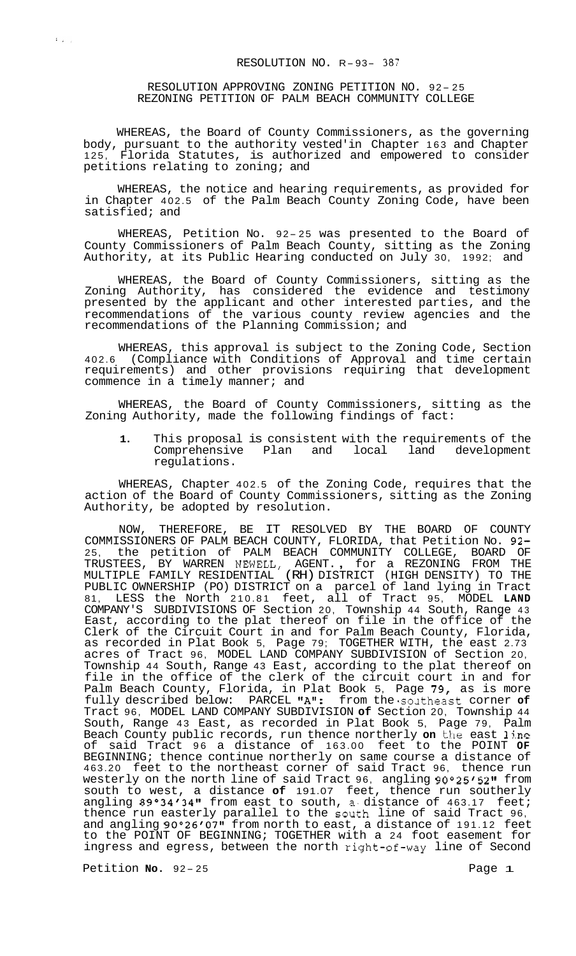RESOLUTION APPROVING ZONING PETITION NO. 92-25 REZONING PETITION OF PALM BEACH COMMUNITY COLLEGE

WHEREAS, the Board of County Commissioners, as the governing body, pursuant to the authority vested'in Chapter 163 and Chapter 125, Florida Statutes, is authorized and empowered to consider petitions relating to zoning; and

WHEREAS, the notice and hearing requirements, as provided for in Chapter 402.5 of the Palm Beach County Zoning Code, have been satisfied; and

WHEREAS, Petition No. 92-25 was presented to the Board of County Commissioners of Palm Beach County, sitting as the Zoning Authority, at its Public Hearing conducted on July 30, 1992; and

WHEREAS, the Board of County Commissioners, sitting as the Zoning Authority, has considered the evidence and testimony presented by the applicant and other interested parties, and the recommendations of the various county review agencies and the recommendations of the Planning Commission; and

WHEREAS, this approval is subject to the Zoning Code, Section 402.6 (Compliance with Conditions of Approval and time certain requirements) and other provisions requiring that development commence in a timely manner; and

WHEREAS, the Board of County Commissioners, sitting as the Zoning Authority, made the following findings of fact:

**1.** This proposal is consistent with the requirements of the Comprehensive Plan and local regulations.

WHEREAS, Chapter 402.5 of the Zoning Code, requires that the action of the Board of County Commissioners, sitting as the Zoning Authority, be adopted by resolution.

NOW, THEREFORE, BE IT RESOLVED BY THE BOARD OF COUNTY COMMISSIONERS OF PALM BEACH COUNTY, FLORIDA, that Petition No. 92- 25, the petition of PALM BEACH COMMUNITY COLLEGE, BOARD OF TRUSTEES, BY WARREN NEWELL, AGENT. , for a REZONING FROM THE MULTIPLE FAMILY RESIDENTIAL (RH) DISTRICT (HIGH DENSITY) TO THE PUBLIC OWNERSHIP (PO) DISTRICT on a parcel of land lying in Tract 81, LESS the North 210.81 feet, all of Tract 95, MODEL **LAND**  COMPANY'S SUBDIVISIONS OF Section 20, Township 44 South, Range 43 East, according to the plat thereof on file in the office of the Clerk of the Circuit Court in and for Palm Beach County, Florida, as recorded in Plat Book 5, Page 79; TOGETHER WITH, the east 2.73 acres of Tract 96, MODEL LAND COMPANY SUBDIVISION of Section 20, Township 44 South, Range 43 East, according to the plat thereof on file in the office of the clerk of the circuit court in and for Palm Beach County, Florida, in Plat Book 5, Page 79, as is more fully described below: PARCEL "A": from the southeast corner of Tract 96, MODEL LAND COMPANY SUBDIVISION **of** Section 20, Township 44 South, Range 43 East, as recorded in Plat Book 5, Page 79, Palm Beach County public records, run thence northerly **on** the east 1jne of said Tract 96 a distance of 163.00 feet to the POINT **OF**  BEGINNING; thence continue northerly on same course a distance of 463.20 feet to the northeast corner of said Tract 96, thence run westerly on the north line of said Tract 96, angling 90°25'52" from south to west, a distance **of** 191.07 feet, thence run southerly angling 89°34'34" from east to south, a distance of 463.17 feet; thence run easterly parallel to the south line of said Tract 96, and angling 90°26'07" from north to east, a distance of 191.12 feet to the POINT OF BEGINNING; TOGETHER with a 24 foot easement for ingress and egress, between the north right-of-way line of Second

Petition **No.** 92-25 **Page 1** 

 $\left\langle \mathbf{1}_{\mathbf{1},\mathbf{2},\mathbf{3},\mathbf{4},\mathbf{4},\mathbf{5}}^{\dagger}\right\rangle$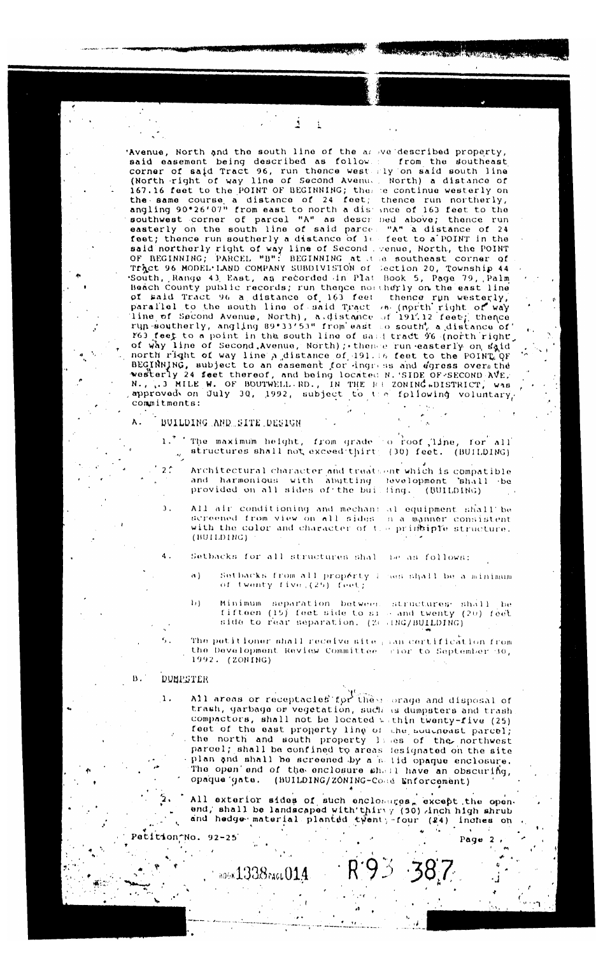Avenue, North and the south line of the answeldescribed property,<br>said easement being described as follows: from the southeast<br>corner of said Tract 96, run thence west rly on said south line (North right of way line of Second Avenue, North) a distance of 167.16 feet to the POINT OF BEGINNING; the se continue westerly on the same course a distance of 24 feet; thence run northerly,<br>angling 90°26'07" from east to north a distance of 163 feet to the<br>southwest corner of parcel "A" as described above; thence run easterly on the south line of said parce feet; thence run southerly a distance of it said northerly right of way line of Second . venue, North, the POINT<br>OF REGINNING; PARCEL "B": BEGINNING at the southeast corner of Tract 96 MODEL LAND COMPANY SUBDIVISION of Section 20, Township 44 South, Range 43 East, as recorded in Plat Book 5, Page 79, Palm Baach County public records; run thence not the pool of the east line<br>of waid Tract 96 a distance of 161 feet thence run westerly, of said fract 96 a distance of 193 leet thence fun westerly,<br>parallel to the south line of said fract 76 (north right of way<br>Time of Second Avenue, North), a distance of 191.12 feet; thence<br>run southerly, angling 89°33'53" res feet to a point in the south line or same tract ve (north right, of way line of Second Avenue, North); thence run easterly on said north right of way line a distance of 191.16 feet to the POINT OF BEGINNING, subject to commitments:

ĺ

 $\frac{1}{2}$ 

"A" a distance of 24 feet to a POINT in the

# BUILDING AND SITE DESIGN

1. The maximum helght, from grade co roof, line, for all<br>
structures shall not exceed thirt: (30) feet. (BUILDING)

- Architectural character and treatsent which is compatible and harmonious with abutting fevelopment shall be<br>provided on all sides of the builling. (BUILDING)
- All air conditioning and mechan: al equipment shall be screened from view on all sides in a manner consistent with the color and character of the principle structure. (BUILDING)

Setbacks for all structures shall be as follows:

- Setbacks from all propérty i nes shall be a minimum of twenty five (25) feet;  $\Lambda$
- Minimum separation between structures shall be<br>fifteen (15) feet side to si and twenty (20) feet<br>side to rear separation. (2001BC/BUILDING)  $\mathbf{h}$

The petitioner shall receive site pan certification from the Development Review Committee (rior to September 30, 1992. (ZONING)

#### **B**. DUMPSTER

Patition No. 92-25

 $\mathbf{1}$ .

A.

 $2^{\circ}$ 

 $\mathbf{1}$ .

 $\mathbf 4$ .

All areas or receptacles for these orage and disposal of trash, garbage or vegetation, such as dumpsters and trash compactors, shall not be located within twenty-five (25) feet of the east property line of the southeast parcel; the north and south property lines of the northwest parcel; shall be confined to areas tesignated on the site plan and shall be screened by a said opaque enclosure.<br>The open end of the enclosure shall have an obscuring, opaque gate. (BUILDING/ZONING-Cose Enforcement)

800K1338race014

Page

 $\overline{2}$ 

All exterior sides of such enclosures, except the open-<br>end, shall be landscaped with thirty (30) inch high shrub<br>and hedge material planted twent, four (24) inches on

 $R93.387$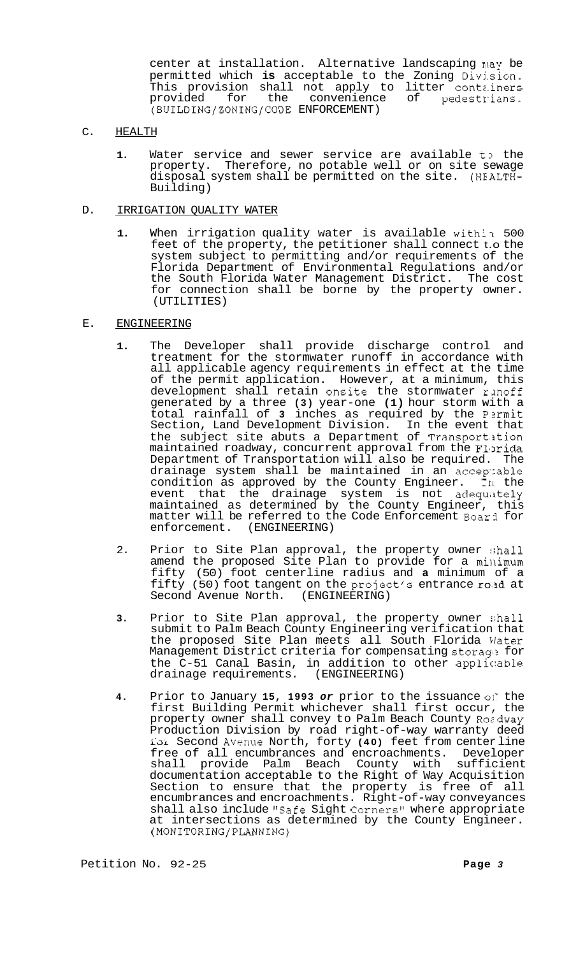center at installation. Alternative landscaping r\ay be permitted which **is** acceptable to the Zoning Divj.sion. This provision shall not apply to litter contz.iners provided for the convenience of pedestrians. (BUILDING/ZONING/CODE ENFORCEMENT)

- C. HEALTH
	- 1. Water service and sewer service are available to the property. Therefore, no potable well or on site sewage disposal system shall be permitted on the site. (HEALTH-Building)

## D. IRRIGATION QUALITY WATER

- 1. When irrigation quality water is available within 500 feet of the property, the petitioner shall connect t.o the system subject to permitting and/or requirements of the Florida Department of Environmental Regulations and/or the South Florida Water Management District. The cost for connection shall be borne by the property owner. (UTILITIES)
- E. ENGINEERING
	- **1.** The Developer shall provide discharge control and treatment for the stormwater runoff in accordance with all applicable agency requirements in effect at the time of the permit application. However, at a minimum, this development shall retain onsite the stormwater rinoff generated by a three **(3)** year-one **(1)** hour storm with a total rainfall of **3** inches as required by the P2rmit Section, Land Development Division. In the event that the subject site abuts a Department of Transportition maintained roadway, concurrent approval from the Florida Department of Transportation will also be required. The drainage system shall be maintained in an accep'zable condition as approved by the County Engineer. **111** the event that the drainage system is not adequately maintained as determined by the County Engineer, this matter will be referred to the Code Enforcement Boar3 for enforcement. (ENGINEERING)
	- 2. Prior to Site Plan approval, the property owner shall amend the proposed Site Plan to provide for a minimum fifty (50) foot centerline radius and **a** minimum of a fifty (50) foot tangent on the project's entrance rold at Second Avenue North. (ENGINEERING)
	- **3.** Prior to Site Plan approval, the property owner shall submit to Palm Beach County Engineering verification that the proposed Site Plan meets all South Florida Water Management District criteria for compensating storage for the C-51 Canal Basin, in addition to other applicable<br>drainage requirements. (ENGINEERING) drainage requirements.
	- **4.** Prior to January **15, 1993** *or* prior to the issuance oli the first Building Permit whichever shall first occur, the property owner shall convey to Palm Beach County Rozdway Production Division by road right-of-way warranty deed i'di Second Avenue North, forty **(40)** feet from center line free of all encumbrances and encroachments. Developer shall provide Palm Beach County with sufficient documentation acceptable to the Right of Way Acquisition Section to ensure that the property is free of all encumbrances and encroachments. Right-of-way conveyances shall also include "Safe Sight Corners" where appropriate at intersections as determined by the County Engineer. (MONITORING/PLANNING)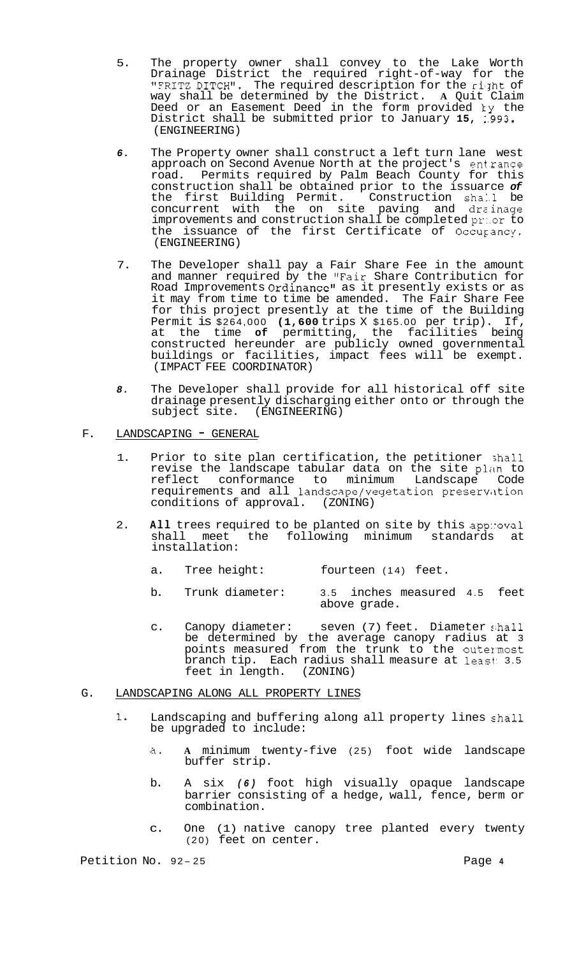- 5. The property owner shall convey to the Lake Worth Drainage District the required right-of-way for the "FRITZ DITCH". The required description for the right of way shall be determined by the District. **A** Quit Claim Deed or an Easement Deed in the form provided ky the District shall be submitted prior to January **15,** 1.993. (ENGINEERING)
- *6.* The Property owner shall construct a left turn lane west approach on Second Avenue North at the project's ent.rance road. Permits required by Palm Beach County for this construction shall be obtained prior to the issuarce *of*  the first Building Permit. Construction shall be concurrent with the on site paving and dreinage improvements and construction shall be completed pr:.or to the issuance of the first Certificate of Occuyancy. (ENGINEERING)
- 7. The Developer shall pay a Fair Share Fee in the amount and manner required by the "Fair Share Contributicn for Road Improvements Ordinance" as it presently exists or as it may from time to time be amended. The Fair Share Fee for this project presently at the time of the Building Permit is \$264,000 **(1,600** trips X \$165.00 per trip). If, at the time **of** permitting, the facilities being constructed hereunder are publicly owned governmental buildings or facilities, impact fees will be exempt. (IMPACT FEE COORDINATOR)
- *8.* The Developer shall provide for all historical off site drainage presently discharging either onto or through the subject site. (ENGINEERING)
- F. LANDSCAPING GENERAL
	- 1. Prior to site plan certification, the petitioner shall revise the landscape tabular data on the site plan to reflect conformance to minimum Landscape Code requirements and all landscape/vegetation preservation conditions of approval. (ZONING)
	- 2. **All** trees required to be planted on site by this app::oval<br>shall meet the following minimum standards at the following minimum standards at installation:
		- a. Tree height: fourteen (14) feet.
		- b. Trunk diameter: 3.5 inches measured 4.5 feet above grade.
		- c. Canopy diameter: seven (7) feet. Diameter .;hall be determined by the average canopy radius at 3 points measured from the trunk to the outermost branch tip. Each radius shall measure at least: 3.5 feet in length. (ZONING)

# G. LANDSCAPING ALONG ALL PROPERTY LINES

- 1. Landscaping and buffering along all property lines zhall be upgraded to include:
	- a. **A** minimum twenty-five (25) foot wide landscape buffer strip.
	- b. A six *(6)* foot high visually opaque landscape barrier consisting of a hedge, wall, fence, berm or combination.
	- c. One (1) native canopy tree planted every twenty (20) feet on center.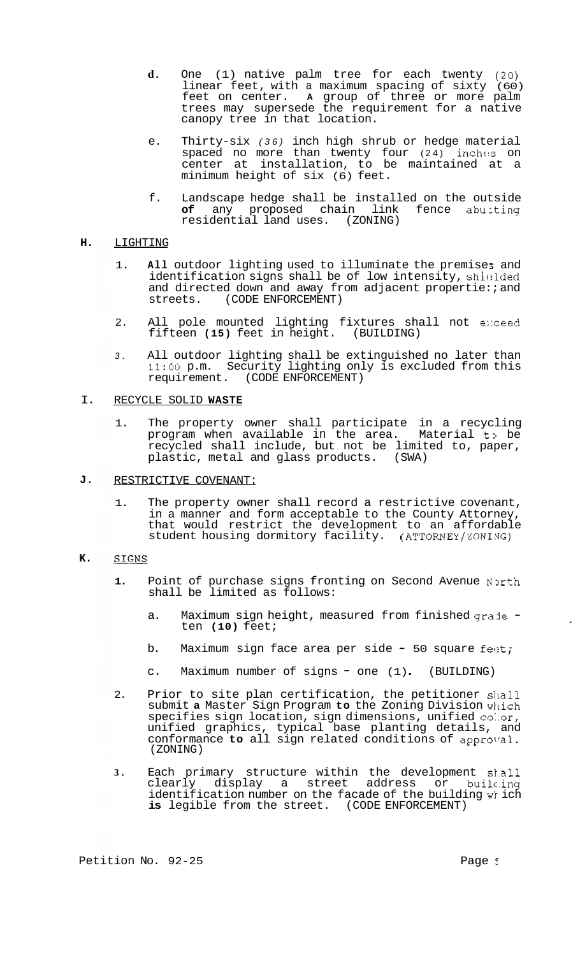- **d.** One (1) native palm tree for each twenty *(20)*  linear feet, with a maximum spacing of sixty (60) feet on center. **A** group of three or more palm trees may supersede the requirement for a native canopy tree in that location.
- e. Thirty-six *(36)* inch high shrub or hedge material spaced no more than twenty four (24) inches on center at installation, to be maintained at a minimum height of six (6) feet.
- f. Landscape hedge shall be installed on the outside<br>of any proposed chain link fence abuiting **of** any proposed chain link residential land uses. (ZONING)

#### **H.**  LIGHTING

- 1. All outdoor lighting used to illuminate the premises and identification signs shall be of low intensity, shiclded and directed down and away from adjacent propertie: ; and streets. (CODE ENFORCEMENT)
- 2. All pole mounted lighting fixtures shall not exceed<br>fifteen (15) feet in height. (BUILDING) fifteen (15) feet in height.
- *3.* All outdoor lighting shall be extinguished no later than **11:OO** p.m. Security lighting only is excluded from this requirement. (CODE ENFORCEMENT)

### I. RECYCLE SOLID **WASTE**

- 1. The property owner shall participate in a recycling program when available in the area. Material t] be recycled shall include, but not be limited to, paper, plastic, metal and glass products. (SWA)
- **J.**  RESTRICTIVE COVENANT:
	- 1. The property owner shall record a restrictive covenant, in a manner and form acceptable to the County Attorney, that would restrict the development to an affordable student housing dormitory facility. (ATTORNEY/ZONING)

#### **K. SIGNS**

- 1. Point of purchase signs fronting on Second Avenue North shall be limited as follows:
	- a. Maximum sign height, measured from finished grade ten **(10)** feet;
	- b. Maximum sign face area per side  $-50$  square feet;
	- c. Maximum number of signs = one (1) (BUILDING)
- 2. Prior to site plan certification, the petitioner shall submit **a** Master Sign Program **to** the Zoning Division wilich specifies sign location, sign dimensions, unified co:.or, unified graphics, typical base planting details, and conformance to all sign related conditions of approval. (ZONING)
- **3.** Each primary structure within the development sl.all clearly display a street address or identification number on the facade of the building which **is** legible from the street. (CODE ENFORCEMENT)